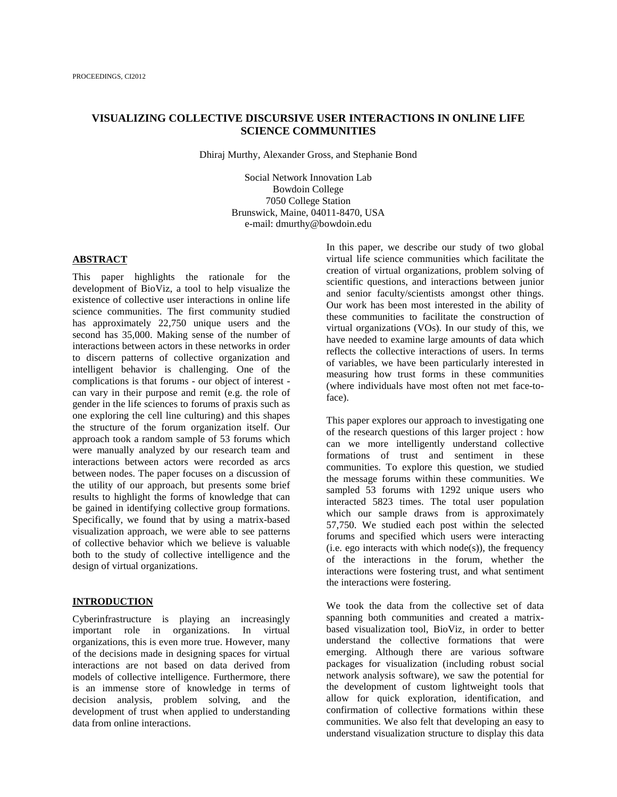# **VISUALIZING COLLECTIVE DISCURSIVE USER INTERACTIONS IN ONLINE LIFE SCIENCE COMMUNITIES**

Dhiraj Murthy, Alexander Gross, and Stephanie Bond

Social Network Innovation Lab Bowdoin College 7050 College Station Brunswick, Maine, 04011-8470, USA e-mail: dmurthy@bowdoin.edu

## **ABSTRACT**

This paper highlights the rationale for the development of BioViz, a tool to help visualize the existence of collective user interactions in online life science communities. The first community studied has approximately 22,750 unique users and the second has 35,000. Making sense of the number of interactions between actors in these networks in order to discern patterns of collective organization and intelligent behavior is challenging. One of the complications is that forums - our object of interest can vary in their purpose and remit (e.g. the role of gender in the life sciences to forums of praxis such as one exploring the cell line culturing) and this shapes the structure of the forum organization itself. Our approach took a random sample of 53 forums which were manually analyzed by our research team and interactions between actors were recorded as arcs between nodes. The paper focuses on a discussion of the utility of our approach, but presents some brief results to highlight the forms of knowledge that can be gained in identifying collective group formations. Specifically, we found that by using a matrix-based visualization approach, we were able to see patterns of collective behavior which we believe is valuable both to the study of collective intelligence and the design of virtual organizations.

## **INTRODUCTION**

Cyberinfrastructure is playing an increasingly important role in organizations. In virtual organizations, this is even more true. However, many of the decisions made in designing spaces for virtual interactions are not based on data derived from models of collective intelligence. Furthermore, there is an immense store of knowledge in terms of decision analysis, problem solving, and the development of trust when applied to understanding data from online interactions.

In this paper, we describe our study of two global virtual life science communities which facilitate the creation of virtual organizations, problem solving of scientific questions, and interactions between junior and senior faculty/scientists amongst other things. Our work has been most interested in the ability of these communities to facilitate the construction of virtual organizations (VOs). In our study of this, we have needed to examine large amounts of data which reflects the collective interactions of users. In terms of variables, we have been particularly interested in measuring how trust forms in these communities (where individuals have most often not met face-toface).

This paper explores our approach to investigating one of the research questions of this larger project : how can we more intelligently understand collective formations of trust and sentiment in these communities. To explore this question, we studied the message forums within these communities. We sampled 53 forums with 1292 unique users who interacted 5823 times. The total user population which our sample draws from is approximately 57,750. We studied each post within the selected forums and specified which users were interacting  $(i.e. ego$  interacts with which node $(s)$ ), the frequency of the interactions in the forum, whether the interactions were fostering trust, and what sentiment the interactions were fostering.

We took the data from the collective set of data spanning both communities and created a matrixbased visualization tool, BioViz, in order to better understand the collective formations that were emerging. Although there are various software packages for visualization (including robust social network analysis software), we saw the potential for the development of custom lightweight tools that allow for quick exploration, identification, and confirmation of collective formations within these communities. We also felt that developing an easy to understand visualization structure to display this data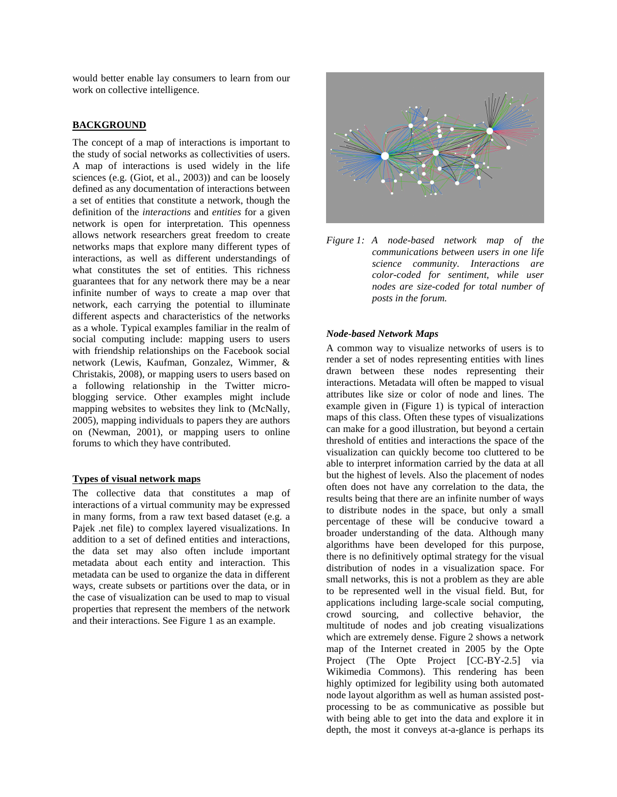would better enable lay consumers to learn from our work on collective intelligence.

# **BACKGROUND**

The concept of a map of interactions is important to the study of social networks as collectivities of users. A map of interactions is used widely in the life sciences (e.g. (Giot, et al., 2003)) and can be loosely defined as any documentation of interactions between a set of entities that constitute a network, though the definition of the *interactions* and *entities* for a given network is open for interpretation. This openness allows network researchers great freedom to create networks maps that explore many different types of interactions, as well as different understandings of what constitutes the set of entities. This richness guarantees that for any network there may be a near infinite number of ways to create a map over that network, each carrying the potential to illuminate different aspects and characteristics of the networks as a whole. Typical examples familiar in the realm of social computing include: mapping users to users with friendship relationships on the Facebook social network (Lewis, Kaufman, Gonzalez, Wimmer, & Christakis, 2008), or mapping users to users based on a following relationship in the Twitter microblogging service. Other examples might include mapping websites to websites they link to (McNally, 2005), mapping individuals to papers they are authors on (Newman, 2001), or mapping users to online forums to which they have contributed.

# **Types of visual network maps**

The collective data that constitutes a map of interactions of a virtual community may be expressed in many forms, from a raw text based dataset (e.g. a Pajek .net file) to complex layered visualizations. In addition to a set of defined entities and interactions, the data set may also often include important metadata about each entity and interaction. This metadata can be used to organize the data in different ways, create subsets or partitions over the data, or in the case of visualization can be used to map to visual properties that represent the members of the network and their interactions. See Figure 1 as an example.



*Figure 1: A node-based network map of the communications between users in one life science community. Interactions are color-coded for sentiment, while user nodes are size-coded for total number of posts in the forum.* 

## *Node-based Network Maps*

A common way to visualize networks of users is to render a set of nodes representing entities with lines drawn between these nodes representing their interactions. Metadata will often be mapped to visual attributes like size or color of node and lines. The example given in (Figure 1) is typical of interaction maps of this class. Often these types of visualizations can make for a good illustration, but beyond a certain threshold of entities and interactions the space of the visualization can quickly become too cluttered to be able to interpret information carried by the data at all but the highest of levels. Also the placement of nodes often does not have any correlation to the data, the results being that there are an infinite number of ways to distribute nodes in the space, but only a small percentage of these will be conducive toward a broader understanding of the data. Although many algorithms have been developed for this purpose, there is no definitively optimal strategy for the visual distribution of nodes in a visualization space. For small networks, this is not a problem as they are able to be represented well in the visual field. But, for applications including large-scale social computing, crowd sourcing, and collective behavior, the multitude of nodes and job creating visualizations which are extremely dense. Figure 2 shows a network map of the Internet created in 2005 by the Opte Project (The Opte Project [CC-BY-2.5] via Wikimedia Commons). This rendering has been highly optimized for legibility using both automated node layout algorithm as well as human assisted postprocessing to be as communicative as possible but with being able to get into the data and explore it in depth, the most it conveys at-a-glance is perhaps its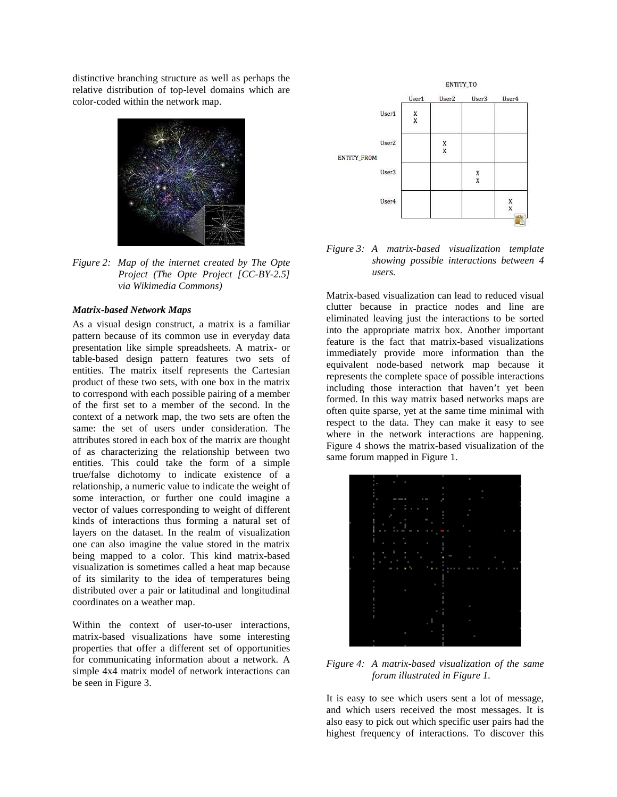distinctive branching structure as well as perhaps the relative distribution of top-level domains which are color-coded within the network map.



*Figure 2: Map of the internet created by The Opte Project (The Opte Project [CC-BY-2.5] via Wikimedia Commons)* 

### *Matrix-based Network Maps*

As a visual design construct, a matrix is a familiar pattern because of its common use in everyday data presentation like simple spreadsheets. A matrix- or table-based design pattern features two sets of entities. The matrix itself represents the Cartesian product of these two sets, with one box in the matrix to correspond with each possible pairing of a member of the first set to a member of the second. In the context of a network map, the two sets are often the same: the set of users under consideration. The attributes stored in each box of the matrix are thought of as characterizing the relationship between two entities. This could take the form of a simple true/false dichotomy to indicate existence of a relationship, a numeric value to indicate the weight of some interaction, or further one could imagine a vector of values corresponding to weight of different kinds of interactions thus forming a natural set of layers on the dataset. In the realm of visualization one can also imagine the value stored in the matrix being mapped to a color. This kind matrix-based visualization is sometimes called a heat map because of its similarity to the idea of temperatures being distributed over a pair or latitudinal and longitudinal coordinates on a weather map.

Within the context of user-to-user interactions, matrix-based visualizations have some interesting properties that offer a different set of opportunities for communicating information about a network. A simple 4x4 matrix model of network interactions can be seen in Figure 3.



*Figure 3: A matrix-based visualization template showing possible interactions between 4 users.* 

Matrix-based visualization can lead to reduced visual clutter because in practice nodes and line are eliminated leaving just the interactions to be sorted into the appropriate matrix box. Another important feature is the fact that matrix-based visualizations immediately provide more information than the equivalent node-based network map because it represents the complete space of possible interactions including those interaction that haven't yet been formed. In this way matrix based networks maps are often quite sparse, yet at the same time minimal with respect to the data. They can make it easy to see where in the network interactions are happening. Figure 4 shows the matrix-based visualization of the same forum mapped in Figure 1.



*Figure 4: A matrix-based visualization of the same forum illustrated in Figure 1.* 

It is easy to see which users sent a lot of message, and which users received the most messages. It is also easy to pick out which specific user pairs had the highest frequency of interactions. To discover this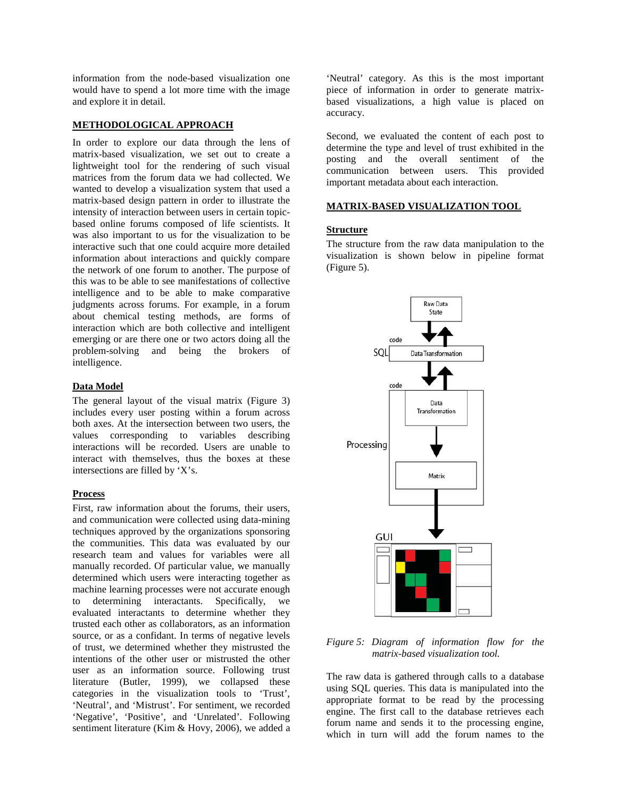information from the node-based visualization one would have to spend a lot more time with the image and explore it in detail.

### **METHODOLOGICAL APPROACH**

In order to explore our data through the lens of matrix-based visualization, we set out to create a lightweight tool for the rendering of such visual matrices from the forum data we had collected. We wanted to develop a visualization system that used a matrix-based design pattern in order to illustrate the intensity of interaction between users in certain topicbased online forums composed of life scientists. It was also important to us for the visualization to be interactive such that one could acquire more detailed information about interactions and quickly compare the network of one forum to another. The purpose of this was to be able to see manifestations of collective intelligence and to be able to make comparative judgments across forums. For example, in a forum about chemical testing methods, are forms of interaction which are both collective and intelligent emerging or are there one or two actors doing all the problem-solving and being the brokers of intelligence.

### **Data Model**

The general layout of the visual matrix (Figure 3) includes every user posting within a forum across both axes. At the intersection between two users, the values corresponding to variables describing interactions will be recorded. Users are unable to interact with themselves, thus the boxes at these intersections are filled by 'X's.

## **Process**

First, raw information about the forums, their users, and communication were collected using data-mining techniques approved by the organizations sponsoring the communities. This data was evaluated by our research team and values for variables were all manually recorded. Of particular value, we manually determined which users were interacting together as machine learning processes were not accurate enough to determining interactants. Specifically, we evaluated interactants to determine whether they trusted each other as collaborators, as an information source, or as a confidant. In terms of negative levels of trust, we determined whether they mistrusted the intentions of the other user or mistrusted the other user as an information source. Following trust literature (Butler, 1999), we collapsed these categories in the visualization tools to 'Trust', 'Neutral', and 'Mistrust'. For sentiment, we recorded 'Negative', 'Positive', and 'Unrelated'. Following sentiment literature (Kim & Hovy, 2006), we added a

'Neutral' category. As this is the most important piece of information in order to generate matrixbased visualizations, a high value is placed on accuracy.

Second, we evaluated the content of each post to determine the type and level of trust exhibited in the posting and the overall sentiment of the communication between users. This provided important metadata about each interaction.

## **MATRIX-BASED VISUALIZATION TOOL**

### **Structure**

The structure from the raw data manipulation to the visualization is shown below in pipeline format (Figure 5).



*Figure 5: Diagram of information flow for the matrix-based visualization tool.* 

The raw data is gathered through calls to a database using SQL queries. This data is manipulated into the appropriate format to be read by the processing engine. The first call to the database retrieves each forum name and sends it to the processing engine, which in turn will add the forum names to the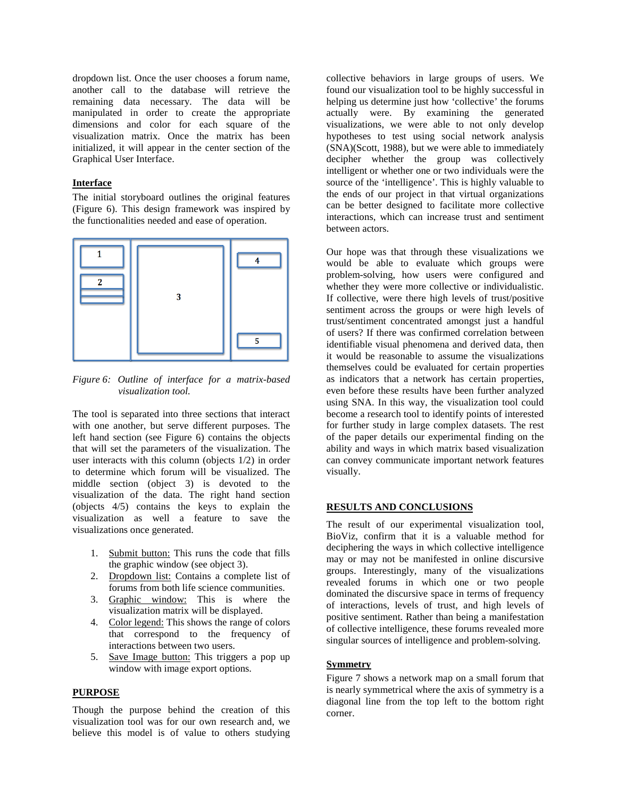dropdown list. Once the user chooses a forum name, another call to the database will retrieve the remaining data necessary. The data will be manipulated in order to create the appropriate dimensions and color for each square of the visualization matrix. Once the matrix has been initialized, it will appear in the center section of the Graphical User Interface.

# **Interface**

The initial storyboard outlines the original features (Figure 6). This design framework was inspired by the functionalities needed and ease of operation.



*Figure 6: Outline of interface for a matrix-based visualization tool.* 

The tool is separated into three sections that interact with one another, but serve different purposes. The left hand section (see Figure 6) contains the objects that will set the parameters of the visualization. The user interacts with this column (objects 1/2) in order to determine which forum will be visualized. The middle section (object 3) is devoted to the visualization of the data. The right hand section (objects 4/5) contains the keys to explain the visualization as well a feature to save the visualizations once generated.

- 1. Submit button: This runs the code that fills the graphic window (see object 3).
- 2. Dropdown list: Contains a complete list of forums from both life science communities.
- 3. Graphic window: This is where the visualization matrix will be displayed.
- 4. Color legend: This shows the range of colors that correspond to the frequency of interactions between two users.
- 5. Save Image button: This triggers a pop up window with image export options.

# **PURPOSE**

Though the purpose behind the creation of this visualization tool was for our own research and, we believe this model is of value to others studying collective behaviors in large groups of users. We found our visualization tool to be highly successful in helping us determine just how 'collective' the forums actually were. By examining the generated visualizations, we were able to not only develop hypotheses to test using social network analysis (SNA)(Scott, 1988), but we were able to immediately decipher whether the group was collectively intelligent or whether one or two individuals were the source of the 'intelligence'. This is highly valuable to the ends of our project in that virtual organizations can be better designed to facilitate more collective interactions, which can increase trust and sentiment between actors.

Our hope was that through these visualizations we would be able to evaluate which groups were problem-solving, how users were configured and whether they were more collective or individualistic. If collective, were there high levels of trust/positive sentiment across the groups or were high levels of trust/sentiment concentrated amongst just a handful of users? If there was confirmed correlation between identifiable visual phenomena and derived data, then it would be reasonable to assume the visualizations themselves could be evaluated for certain properties as indicators that a network has certain properties, even before these results have been further analyzed using SNA. In this way, the visualization tool could become a research tool to identify points of interested for further study in large complex datasets. The rest of the paper details our experimental finding on the ability and ways in which matrix based visualization can convey communicate important network features visually.

## **RESULTS AND CONCLUSIONS**

The result of our experimental visualization tool, BioViz, confirm that it is a valuable method for deciphering the ways in which collective intelligence may or may not be manifested in online discursive groups. Interestingly, many of the visualizations revealed forums in which one or two people dominated the discursive space in terms of frequency of interactions, levels of trust, and high levels of positive sentiment. Rather than being a manifestation of collective intelligence, these forums revealed more singular sources of intelligence and problem-solving.

## **Symmetry**

Figure 7 shows a network map on a small forum that is nearly symmetrical where the axis of symmetry is a diagonal line from the top left to the bottom right corner.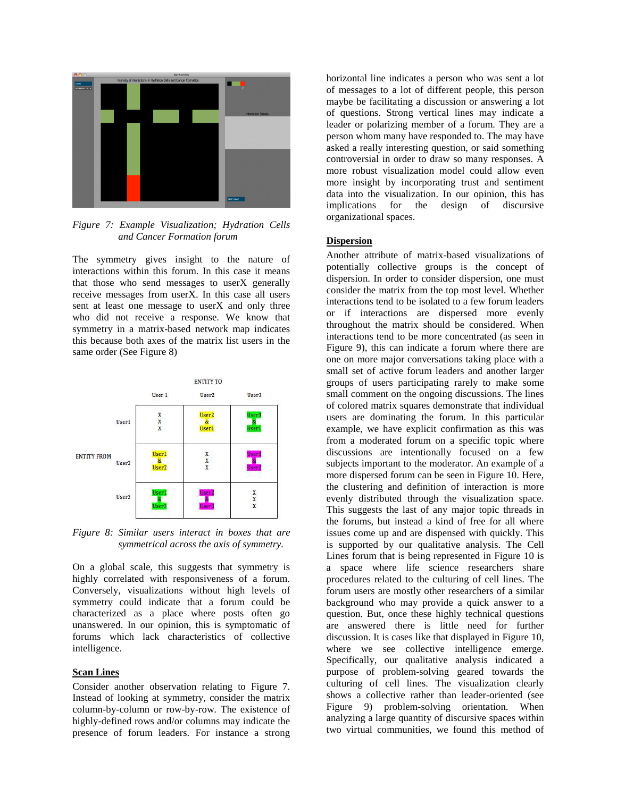

*Figure 7: Example Visualization; Hydration Cells and Cancer Formation forum* 

The symmetry gives insight to the nature of interactions within this forum. In this case it means that those who send messages to userX generally receive messages from userX. In this case all users sent at least one message to userX and only three who did not receive a response. We know that symmetry in a matrix-based network map indicates this because both axes of the matrix list users in the same order (See Figure 8)



*Figure 8: Similar users interact in boxes that are symmetrical across the axis of symmetry.*

On a global scale, this suggests that symmetry is highly correlated with responsiveness of a forum. Conversely, visualizations without high levels of symmetry could indicate that a forum could be characterized as a place where posts often go unanswered. In our opinion, this is symptomatic of forums which lack characteristics of collective intelligence.

### **Scan Lines**

Consider another observation relating to Figure 7. Instead of looking at symmetry, consider the matrix column-by-column or row-by-row. The existence of highly-defined rows and/or columns may indicate the presence of forum leaders. For instance a strong

horizontal line indicates a person who was sent a lot of messages to a lot of different people, this person maybe be facilitating a discussion or answering a lot of questions. Strong vertical lines may indicate a leader or polarizing member of a forum. They are a person whom many have responded to. The may have asked a really interesting question, or said something controversial in order to draw so many responses. A more robust visualization model could allow even more insight by incorporating trust and sentiment data into the visualization. In our opinion, this has implications for the design of discursive organizational spaces.

### **Dispersion**

Another attribute of matrix-based visualizations of potentially collective groups is the concept of dispersion. In order to consider dispersion, one must consider the matrix from the top most level. Whether interactions tend to be isolated to a few forum leaders or if interactions are dispersed more evenly throughout the matrix should be considered. When interactions tend to be more concentrated (as seen in Figure 9), this can indicate a forum where there are one on more major conversations taking place with a small set of active forum leaders and another larger groups of users participating rarely to make some small comment on the ongoing discussions. The lines of colored matrix squares demonstrate that individual users are dominating the forum. In this particular example, we have explicit confirmation as this was from a moderated forum on a specific topic where discussions are intentionally focused on a few subjects important to the moderator. An example of a more dispersed forum can be seen in Figure 10. Here, the clustering and definition of interaction is more evenly distributed through the visualization space. This suggests the last of any major topic threads in the forums, but instead a kind of free for all where issues come up and are dispensed with quickly. This is supported by our qualitative analysis. The Cell Lines forum that is being represented in Figure 10 is a space where life science researchers share procedures related to the culturing of cell lines. The forum users are mostly other researchers of a similar background who may provide a quick answer to a question. But, once these highly technical questions are answered there is little need for further discussion. It is cases like that displayed in Figure 10, where we see collective intelligence emerge. Specifically, our qualitative analysis indicated a purpose of problem-solving geared towards the culturing of cell lines. The visualization clearly shows a collective rather than leader-oriented (see Figure 9) problem-solving orientation. When analyzing a large quantity of discursive spaces within two virtual communities, we found this method of